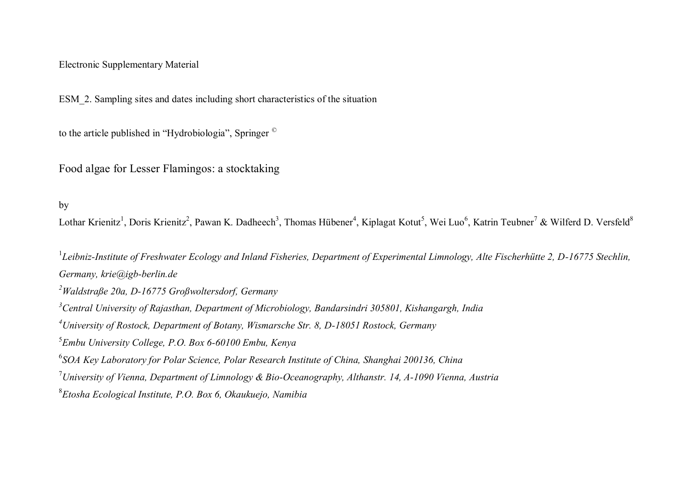## Electronic Supplementary Material

ESM\_2. Sampling sites and dates including short characteristics of the situation

to the article published in "Hydrobiologia", Springer ©

Food algae for Lesser Flamingos: a stocktaking

by

Lothar Krienitz<sup>1</sup>, Doris Krienitz<sup>2</sup>, Pawan K. Dadheech<sup>3</sup>, Thomas Hübener<sup>4</sup>, Kiplagat Kotut<sup>5</sup>, Wei Luo<sup>6</sup>, Katrin Teubner<sup>7</sup> & Wilferd D. Versfeld<sup>8</sup>

<sup>1</sup>Leibniz-Institute of Freshwater Ecology and Inland Fisheries, Department of Experimental Limnology, Alte Fischerhütte 2, D-16775 Stechlin, *Germany, krie@igb-berlin.de Waldstraße 20a, D-16775 Großwoltersdorf, Germany Central University of Rajasthan, Department of Microbiology, Bandarsindri 305801, Kishangargh, India University of Rostock, Department of Botany, Wismarsche Str. 8, D-18051 Rostock, Germany Embu University College, P.O. Box 6-60100 Embu, Kenya SOA Key Laboratory for Polar Science, Polar Research Institute of China, Shanghai 200136, China University of Vienna, Department of Limnology & Bio-Oceanography, Althanstr. 14, A-1090 Vienna, Austria Etosha Ecological Institute, P.O. Box 6, Okaukuejo, Namibia*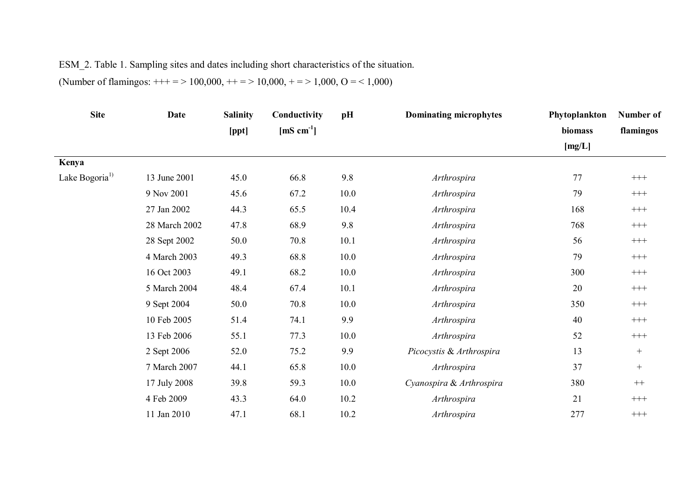## ESM\_2. Table 1. Sampling sites and dates including short characteristics of the situation.

(Number of flamingos:  $+++ = > 100,000, ++ = > 10,000, +- = > 1,000, O = < 1,000$ )

| <b>Site</b>                | Date          | <b>Salinity</b> | Conductivity           | pH   | <b>Dominating microphytes</b> | Phytoplankton | Number of |
|----------------------------|---------------|-----------------|------------------------|------|-------------------------------|---------------|-----------|
|                            |               | [ppt]           | [mS cm <sup>-1</sup> ] |      |                               | biomass       | flamingos |
|                            |               |                 |                        |      |                               | [mg/L]        |           |
| Kenya                      |               |                 |                        |      |                               |               |           |
| Lake Bogoria <sup>1)</sup> | 13 June 2001  | 45.0            | 66.8                   | 9.8  | Arthrospira                   | 77            | $\!$      |
|                            | 9 Nov 2001    | 45.6            | 67.2                   | 10.0 | Arthrospira                   | 79            | $\!$      |
|                            | 27 Jan 2002   | 44.3            | 65.5                   | 10.4 | Arthrospira                   | 168           | $^{+++}$  |
|                            | 28 March 2002 | 47.8            | 68.9                   | 9.8  | Arthrospira                   | 768           | $^{+++}$  |
|                            | 28 Sept 2002  | 50.0            | 70.8                   | 10.1 | Arthrospira                   | 56            | $\!$      |
|                            | 4 March 2003  | 49.3            | 68.8                   | 10.0 | Arthrospira                   | 79            | $\!$      |
|                            | 16 Oct 2003   | 49.1            | 68.2                   | 10.0 | Arthrospira                   | 300           | $\!$      |
|                            | 5 March 2004  | 48.4            | 67.4                   | 10.1 | Arthrospira                   | 20            | $^{+++}$  |
|                            | 9 Sept 2004   | 50.0            | 70.8                   | 10.0 | Arthrospira                   | 350           | $\!$      |
|                            | 10 Feb 2005   | 51.4            | 74.1                   | 9.9  | Arthrospira                   | 40            | $\!$      |
|                            | 13 Feb 2006   | 55.1            | 77.3                   | 10.0 | Arthrospira                   | 52            | $^{+++}$  |
|                            | 2 Sept 2006   | 52.0            | 75.2                   | 9.9  | Picocystis & Arthrospira      | 13            | $+$       |
|                            | 7 March 2007  | 44.1            | 65.8                   | 10.0 | Arthrospira                   | 37            | $^{+}$    |
|                            | 17 July 2008  | 39.8            | 59.3                   | 10.0 | Cyanospira & Arthrospira      | 380           | $^{++}\,$ |
|                            | 4 Feb 2009    | 43.3            | 64.0                   | 10.2 | Arthrospira                   | 21            | $\!$      |
|                            | 11 Jan 2010   | 47.1            | 68.1                   | 10.2 | Arthrospira                   | 277           | $^{+++}$  |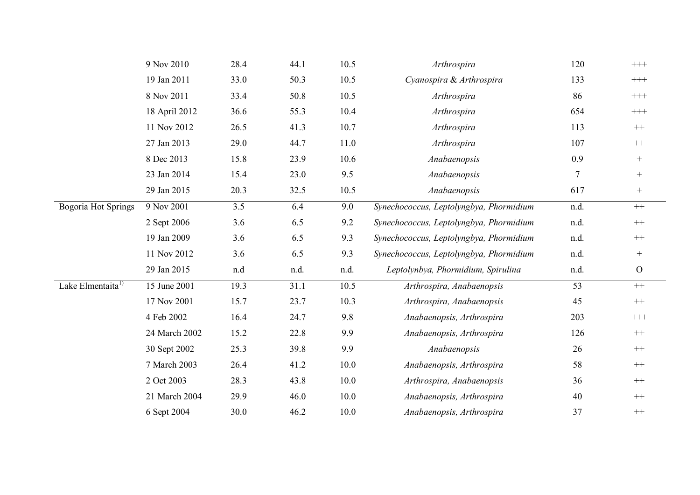|                               | 9 Nov 2010    | 28.4 | 44.1 | 10.5     | Arthrospira                             | 120  | $+++$            |
|-------------------------------|---------------|------|------|----------|-----------------------------------------|------|------------------|
|                               | 19 Jan 2011   | 33.0 | 50.3 | 10.5     | Cyanospira & Arthrospira                | 133  | $\!$             |
|                               | 8 Nov 2011    | 33.4 | 50.8 | 10.5     | Arthrospira                             | 86   | $\!++\!+$        |
|                               | 18 April 2012 | 36.6 | 55.3 | 10.4     | Arthrospira                             | 654  | $\!++\!+$        |
|                               | 11 Nov 2012   | 26.5 | 41.3 | 10.7     | Arthrospira                             | 113  | $^{++}\,$        |
|                               | 27 Jan 2013   | 29.0 | 44.7 | 11.0     | Arthrospira                             | 107  | $^{++}\,$        |
|                               | 8 Dec 2013    | 15.8 | 23.9 | 10.6     | Anabaenopsis                            | 0.9  | $^+$             |
|                               | 23 Jan 2014   | 15.4 | 23.0 | 9.5      | Anabaenopsis                            | 7    | $^{+}$           |
|                               | 29 Jan 2015   | 20.3 | 32.5 | 10.5     | Anabaenopsis                            | 617  | $^{+}$           |
| <b>Bogoria Hot Springs</b>    | 9 Nov 2001    | 3.5  | 6.4  | 9.0      | Synechococcus, Leptolyngbya, Phormidium | n.d. | $++$             |
|                               | 2 Sept 2006   | 3.6  | 6.5  | 9.2      | Synechococcus, Leptolyngbya, Phormidium | n.d. | $^{++}\,$        |
|                               | 19 Jan 2009   | 3.6  | 6.5  | 9.3      | Synechococcus, Leptolyngbya, Phormidium | n.d. | $^{++}$          |
|                               | 11 Nov 2012   | 3.6  | 6.5  | 9.3      | Synechococcus, Leptolyngbya, Phormidium | n.d. | $\boldsymbol{+}$ |
|                               | 29 Jan 2015   | n.d  | n.d. | n.d.     | Leptolynbya, Phormidium, Spirulina      | n.d. | $\mathcal{O}$    |
| Lake Elmentaita <sup>1)</sup> | 15 June 2001  | 19.3 | 31.1 | 10.5     | Arthrospira, Anabaenopsis               | 53   | $++$             |
|                               | 17 Nov 2001   | 15.7 | 23.7 | 10.3     | Arthrospira, Anabaenopsis               | 45   | $^{++}\,$        |
|                               | 4 Feb 2002    | 16.4 | 24.7 | 9.8      | Anabaenopsis, Arthrospira               | 203  | $\!$             |
|                               | 24 March 2002 | 15.2 | 22.8 | 9.9      | Anabaenopsis, Arthrospira               | 126  | $^{++}\,$        |
|                               | 30 Sept 2002  | 25.3 | 39.8 | 9.9      | Anabaenopsis                            | 26   | $++$             |
|                               | 7 March 2003  | 26.4 | 41.2 | $10.0\,$ | Anabaenopsis, Arthrospira               | 58   | $^{++}\,$        |
|                               | 2 Oct 2003    | 28.3 | 43.8 | 10.0     | Arthrospira, Anabaenopsis               | 36   | $++$             |
|                               | 21 March 2004 | 29.9 | 46.0 | 10.0     | Anabaenopsis, Arthrospira               | 40   | $^{++}$          |
|                               | 6 Sept 2004   | 30.0 | 46.2 | 10.0     | Anabaenopsis, Arthrospira               | 37   | $++$             |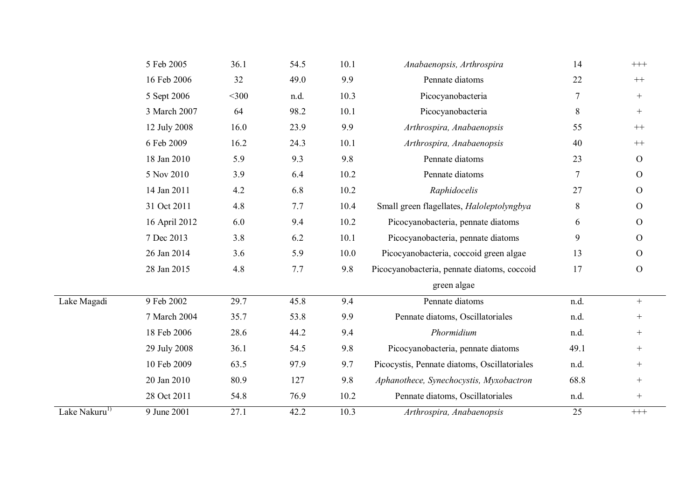|                           | 5 Feb 2005    | 36.1    | 54.5 | 10.1 | Anabaenopsis, Arthrospira                    | 14   | $^{+++}$        |
|---------------------------|---------------|---------|------|------|----------------------------------------------|------|-----------------|
|                           | 16 Feb 2006   | 32      | 49.0 | 9.9  | Pennate diatoms                              | 22   | $++$            |
|                           | 5 Sept 2006   | $<$ 300 | n.d. | 10.3 | Picocyanobacteria                            | 7    | $^{+}$          |
|                           | 3 March 2007  | 64      | 98.2 | 10.1 | Picocyanobacteria                            | 8    | $^{+}$          |
|                           | 12 July 2008  | 16.0    | 23.9 | 9.9  | Arthrospira, Anabaenopsis                    | 55   | $++$            |
|                           | 6 Feb 2009    | 16.2    | 24.3 | 10.1 | Arthrospira, Anabaenopsis                    | 40   | $++$            |
|                           | 18 Jan 2010   | 5.9     | 9.3  | 9.8  | Pennate diatoms                              | 23   | $\overline{O}$  |
|                           | 5 Nov 2010    | 3.9     | 6.4  | 10.2 | Pennate diatoms                              | 7    | $\overline{O}$  |
|                           | 14 Jan 2011   | 4.2     | 6.8  | 10.2 | Raphidocelis                                 | 27   | $\overline{O}$  |
|                           | 31 Oct 2011   | 4.8     | 7.7  | 10.4 | Small green flagellates, Haloleptolyngbya    | 8    | $\mathcal{O}$   |
|                           | 16 April 2012 | 6.0     | 9.4  | 10.2 | Picocyanobacteria, pennate diatoms           | 6    | $\overline{O}$  |
|                           | 7 Dec 2013    | 3.8     | 6.2  | 10.1 | Picocyanobacteria, pennate diatoms           | 9    | $\overline{O}$  |
|                           | 26 Jan 2014   | 3.6     | 5.9  | 10.0 | Picocyanobacteria, coccoid green algae       | 13   | $\overline{O}$  |
|                           | 28 Jan 2015   | 4.8     | 7.7  | 9.8  | Picocyanobacteria, pennate diatoms, coccoid  | 17   | $\mathcal{O}$   |
|                           |               |         |      |      | green algae                                  |      |                 |
| Lake Magadi               | 9 Feb 2002    | 29.7    | 45.8 | 9.4  | Pennate diatoms                              | n.d. | $+$             |
|                           | 7 March 2004  | 35.7    | 53.8 | 9.9  | Pennate diatoms, Oscillatoriales             | n.d. | $^{+}$          |
|                           | 18 Feb 2006   | 28.6    | 44.2 | 9.4  | Phormidium                                   | n.d. | $\! + \!\!\!\!$ |
|                           | 29 July 2008  | 36.1    | 54.5 | 9.8  | Picocyanobacteria, pennate diatoms           | 49.1 | $^{+}$          |
|                           | 10 Feb 2009   | 63.5    | 97.9 | 9.7  | Picocystis, Pennate diatoms, Oscillatoriales | n.d. | $\! + \!\!\!\!$ |
|                           | 20 Jan 2010   | 80.9    | 127  | 9.8  | Aphanothece, Synechocystis, Myxobactron      | 68.8 | $^{+}$          |
|                           | 28 Oct 2011   | 54.8    | 76.9 | 10.2 | Pennate diatoms, Oscillatoriales             | n.d. | $^{+}$          |
| Lake Nakuru <sup>1)</sup> | 9 June 2001   | 27.1    | 42.2 | 10.3 | Arthrospira, Anabaenopsis                    | 25   | $++++$          |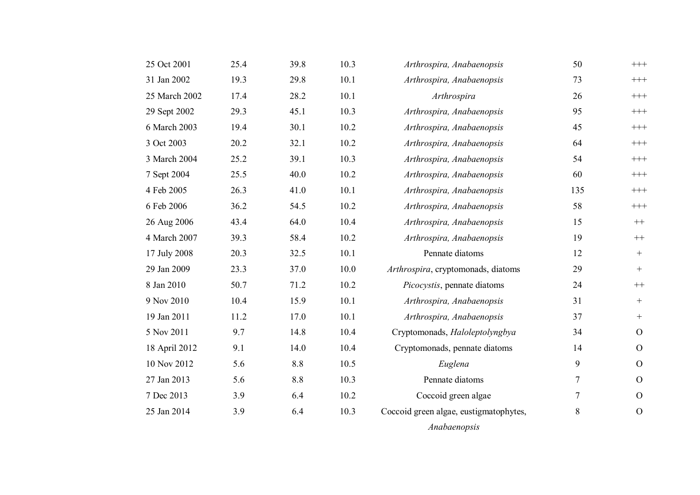| 25 Oct 2001   | 25.4 | 39.8 | 10.3 | Arthrospira, Anabaenopsis              | 50  | $+++$            |
|---------------|------|------|------|----------------------------------------|-----|------------------|
| 31 Jan 2002   | 19.3 | 29.8 | 10.1 | Arthrospira, Anabaenopsis              | 73  | $+++$            |
| 25 March 2002 | 17.4 | 28.2 | 10.1 | Arthrospira                            | 26  | $+++$            |
| 29 Sept 2002  | 29.3 | 45.1 | 10.3 | Arthrospira, Anabaenopsis              | 95  | $^{+++}$         |
| 6 March 2003  | 19.4 | 30.1 | 10.2 | Arthrospira, Anabaenopsis              | 45  | $+++$            |
| 3 Oct 2003    | 20.2 | 32.1 | 10.2 | Arthrospira, Anabaenopsis              | 64  | $+++$            |
| 3 March 2004  | 25.2 | 39.1 | 10.3 | Arthrospira, Anabaenopsis              | 54  | $^{+++}$         |
| 7 Sept 2004   | 25.5 | 40.0 | 10.2 | Arthrospira, Anabaenopsis              | 60  | $^{+++}$         |
| 4 Feb 2005    | 26.3 | 41.0 | 10.1 | Arthrospira, Anabaenopsis              | 135 | $^{+++}$         |
| 6 Feb 2006    | 36.2 | 54.5 | 10.2 | Arthrospira, Anabaenopsis              | 58  | $^{+++}$         |
| 26 Aug 2006   | 43.4 | 64.0 | 10.4 | Arthrospira, Anabaenopsis              | 15  | $^{++}$          |
| 4 March 2007  | 39.3 | 58.4 | 10.2 | Arthrospira, Anabaenopsis              | 19  | $++$             |
| 17 July 2008  | 20.3 | 32.5 | 10.1 | Pennate diatoms                        | 12  | $^{+}$           |
| 29 Jan 2009   | 23.3 | 37.0 | 10.0 | Arthrospira, cryptomonads, diatoms     | 29  | $^{+}$           |
| 8 Jan 2010    | 50.7 | 71.2 | 10.2 | Picocystis, pennate diatoms            | 24  | $^{++}$          |
| 9 Nov 2010    | 10.4 | 15.9 | 10.1 | Arthrospira, Anabaenopsis              | 31  | $+$              |
| 19 Jan 2011   | 11.2 | 17.0 | 10.1 | Arthrospira, Anabaenopsis              | 37  | $\boldsymbol{+}$ |
| 5 Nov 2011    | 9.7  | 14.8 | 10.4 | Cryptomonads, Haloleptolyngbya         | 34  | $\overline{O}$   |
| 18 April 2012 | 9.1  | 14.0 | 10.4 | Cryptomonads, pennate diatoms          | 14  | $\mathcal{O}$    |
| 10 Nov 2012   | 5.6  | 8.8  | 10.5 | Euglena                                | 9   | $\overline{O}$   |
| 27 Jan 2013   | 5.6  | 8.8  | 10.3 | Pennate diatoms                        | 7   | $\overline{O}$   |
| 7 Dec 2013    | 3.9  | 6.4  | 10.2 | Coccoid green algae                    | 7   | $\overline{O}$   |
| 25 Jan 2014   | 3.9  | 6.4  | 10.3 | Coccoid green algae, eustigmatophytes, | 8   | $\mathcal{O}$    |
|               |      |      |      | Anabaenopsis                           |     |                  |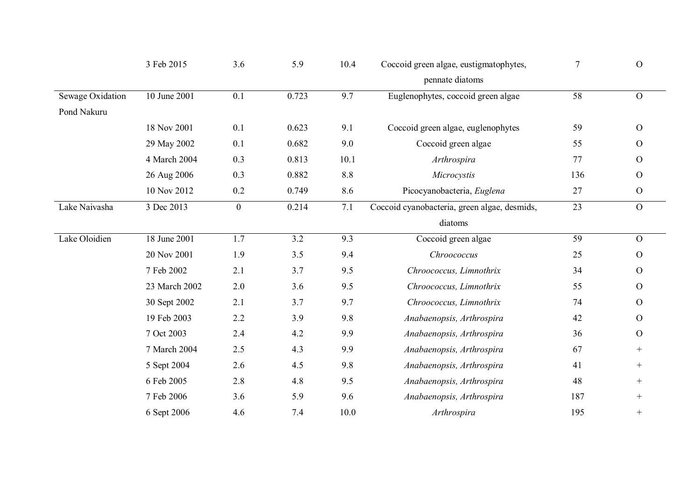|                  | 3 Feb 2015    | 3.6            | 5.9   | 10.4 | Coccoid green algae, eustigmatophytes,       | $\overline{7}$  | $\mathbf{O}$  |
|------------------|---------------|----------------|-------|------|----------------------------------------------|-----------------|---------------|
|                  |               |                |       |      | pennate diatoms                              |                 |               |
| Sewage Oxidation | 10 June 2001  | 0.1            | 0.723 | 9.7  | Euglenophytes, coccoid green algae           | 58              | ${\cal O}$    |
| Pond Nakuru      |               |                |       |      |                                              |                 |               |
|                  | 18 Nov 2001   | 0.1            | 0.623 | 9.1  | Coccoid green algae, euglenophytes           | 59              | $\mathbf O$   |
|                  | 29 May 2002   | 0.1            | 0.682 | 9.0  | Coccoid green algae                          | 55              | $\mathbf{O}$  |
|                  | 4 March 2004  | 0.3            | 0.813 | 10.1 | Arthrospira                                  | 77              | $\mathbf O$   |
|                  | 26 Aug 2006   | 0.3            | 0.882 | 8.8  | Microcystis                                  | 136             | $\mathbf{O}$  |
|                  | 10 Nov 2012   | 0.2            | 0.749 | 8.6  | Picocyanobacteria, Euglena                   | 27              | $\mathbf O$   |
| Lake Naivasha    | 3 Dec 2013    | $\overline{0}$ | 0.214 | 7.1  | Coccoid cyanobacteria, green algae, desmids, | $\overline{23}$ | $\mathbf O$   |
|                  |               |                |       |      | diatoms                                      |                 |               |
| Lake Oloidien    | 18 June 2001  | 1.7            | 3.2   | 9.3  | Coccoid green algae                          | 59              | $\mathbf O$   |
|                  | 20 Nov 2001   | 1.9            | 3.5   | 9.4  | Chroococcus                                  | 25              | $\mathcal{O}$ |
|                  | 7 Feb 2002    | 2.1            | 3.7   | 9.5  | Chroococcus, Limnothrix                      | 34              | $\mathcal O$  |
|                  | 23 March 2002 | 2.0            | 3.6   | 9.5  | Chroococcus, Limnothrix                      | 55              | $\mathbf{O}$  |
|                  | 30 Sept 2002  | 2.1            | 3.7   | 9.7  | Chroococcus, Limnothrix                      | 74              | $\mathbf O$   |
|                  | 19 Feb 2003   | 2.2            | 3.9   | 9.8  | Anabaenopsis, Arthrospira                    | 42              | $\mathbf O$   |
|                  | 7 Oct 2003    | 2.4            | 4.2   | 9.9  | Anabaenopsis, Arthrospira                    | 36              | $\mathbf{O}$  |
|                  | 7 March 2004  | 2.5            | 4.3   | 9.9  | Anabaenopsis, Arthrospira                    | 67              | $^{+}$        |
|                  | 5 Sept 2004   | 2.6            | 4.5   | 9.8  | Anabaenopsis, Arthrospira                    | 41              | $+$           |
|                  | 6 Feb 2005    | 2.8            | 4.8   | 9.5  | Anabaenopsis, Arthrospira                    | 48              | $+$           |
|                  | 7 Feb 2006    | 3.6            | 5.9   | 9.6  | Anabaenopsis, Arthrospira                    | 187             | $^{+}$        |
|                  | 6 Sept 2006   | 4.6            | 7.4   | 10.0 | Arthrospira                                  | 195             | $^{+}$        |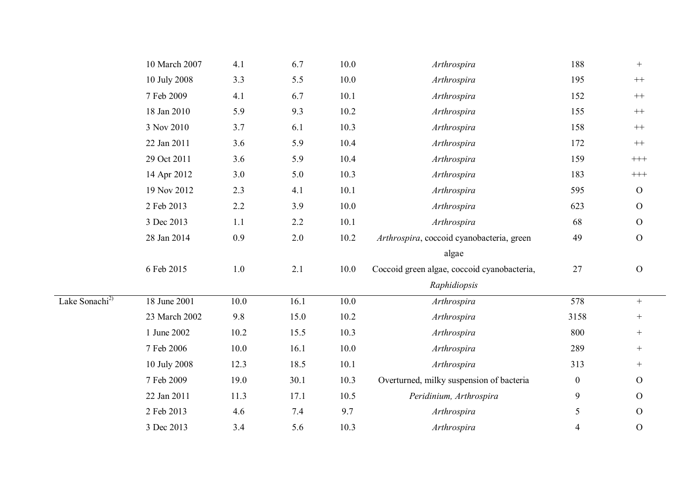|                            | 10 March 2007 | 4.1     | 6.7     | 10.0     | Arthrospira                                 | 188              | $^{+}$            |
|----------------------------|---------------|---------|---------|----------|---------------------------------------------|------------------|-------------------|
|                            | 10 July 2008  | 3.3     | 5.5     | 10.0     | Arthrospira                                 | 195              | $++$              |
|                            | 7 Feb 2009    | 4.1     | 6.7     | 10.1     | Arthrospira                                 | 152              | $++$              |
|                            | 18 Jan 2010   | 5.9     | 9.3     | 10.2     | Arthrospira                                 | 155              | $++$              |
|                            | 3 Nov 2010    | 3.7     | 6.1     | 10.3     | Arthrospira                                 | 158              | $^{++}$           |
|                            | 22 Jan 2011   | 3.6     | 5.9     | 10.4     | Arthrospira                                 | 172              | $++$              |
|                            | 29 Oct 2011   | 3.6     | 5.9     | 10.4     | Arthrospira                                 | 159              | $\!$              |
|                            | 14 Apr 2012   | 3.0     | 5.0     | 10.3     | Arthrospira                                 | 183              | $\!$              |
|                            | 19 Nov 2012   | 2.3     | 4.1     | 10.1     | Arthrospira                                 | 595              | ${\cal O}$        |
|                            | 2 Feb 2013    | 2.2     | 3.9     | $10.0\,$ | Arthrospira                                 | 623              | $\mathcal O$      |
|                            | 3 Dec 2013    | 1.1     | 2.2     | 10.1     | Arthrospira                                 | 68               | $\mathcal O$      |
|                            | 28 Jan 2014   | 0.9     | $2.0\,$ | 10.2     | Arthrospira, coccoid cyanobacteria, green   | 49               | $\overline{O}$    |
|                            |               |         |         |          | algae                                       |                  |                   |
|                            | 6 Feb 2015    | $1.0\,$ | 2.1     | 10.0     | Coccoid green algae, coccoid cyanobacteria, | 27               | $\mathbf{O}$      |
|                            |               |         |         |          | Raphidiopsis                                |                  |                   |
| Lake Sonachi <sup>2)</sup> | 18 June 2001  | 10.0    | 16.1    | 10.0     | Arthrospira                                 | 578              | $+$               |
|                            | 23 March 2002 | 9.8     | 15.0    | 10.2     | Arthrospira                                 | 3158             | $\qquad \qquad +$ |
|                            | 1 June 2002   | 10.2    | 15.5    | 10.3     | Arthrospira                                 | 800              | $\qquad \qquad +$ |
|                            | 7 Feb 2006    | 10.0    | 16.1    | 10.0     | Arthrospira                                 | 289              | $^{+}$            |
|                            | 10 July 2008  | 12.3    | 18.5    | 10.1     | Arthrospira                                 | 313              | $^{+}$            |
|                            | 7 Feb 2009    | 19.0    | 30.1    | 10.3     | Overturned, milky suspension of bacteria    | $\boldsymbol{0}$ | $\overline{O}$    |
|                            | 22 Jan 2011   | 11.3    | 17.1    | 10.5     | Peridinium, Arthrospira                     | 9                | $\mathbf{O}$      |
|                            | 2 Feb 2013    | 4.6     | 7.4     | 9.7      | Arthrospira                                 | 5                | $\mathcal{O}$     |
|                            | 3 Dec 2013    | 3.4     | 5.6     | 10.3     | Arthrospira                                 | $\overline{4}$   | $\mathbf{O}$      |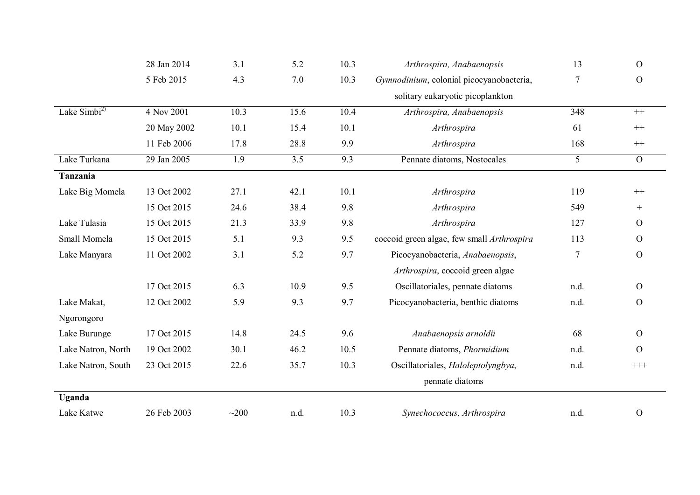|                    | 28 Jan 2014 | 3.1  | 5.2              | 10.3 | Arthrospira, Anabaenopsis                  | 13             | $\overline{O}$      |
|--------------------|-------------|------|------------------|------|--------------------------------------------|----------------|---------------------|
|                    | 5 Feb 2015  | 4.3  | 7.0              | 10.3 | Gymnodinium, colonial picocyanobacteria,   | $\overline{7}$ | $\mathbf{O}$        |
|                    |             |      |                  |      | solitary eukaryotic picoplankton           |                |                     |
| Lake $Simbi2$      | 4 Nov 2001  | 10.3 | 15.6             | 10.4 | Arthrospira, Anabaenopsis                  | 348            | $^{++}$             |
|                    | 20 May 2002 | 10.1 | 15.4             | 10.1 | Arthrospira                                | 61             | $^{++}$             |
|                    | 11 Feb 2006 | 17.8 | 28.8             | 9.9  | Arthrospira                                | 168            | $^{++}$             |
| Lake Turkana       | 29 Jan 2005 | 1.9  | $\overline{3.5}$ | 9.3  | Pennate diatoms, Nostocales                | $\overline{5}$ | $\overline{O}$      |
| Tanzania           |             |      |                  |      |                                            |                |                     |
| Lake Big Momela    | 13 Oct 2002 | 27.1 | 42.1             | 10.1 | Arthrospira                                | 119            | $^{++}\,$           |
|                    | 15 Oct 2015 | 24.6 | 38.4             | 9.8  | Arthrospira                                | 549            | $^{+}$              |
| Lake Tulasia       | 15 Oct 2015 | 21.3 | 33.9             | 9.8  | Arthrospira                                | 127            | $\overline{O}$      |
| Small Momela       | 15 Oct 2015 | 5.1  | 9.3              | 9.5  | coccoid green algae, few small Arthrospira | 113            | $\overline{O}$      |
| Lake Manyara       | 11 Oct 2002 | 3.1  | 5.2              | 9.7  | Picocyanobacteria, Anabaenopsis,           | $\tau$         | $\overline{O}$      |
|                    |             |      |                  |      | Arthrospira, coccoid green algae           |                |                     |
|                    | 17 Oct 2015 | 6.3  | 10.9             | 9.5  | Oscillatoriales, pennate diatoms           | n.d.           | $\overline{O}$      |
| Lake Makat,        | 12 Oct 2002 | 5.9  | 9.3              | 9.7  | Picocyanobacteria, benthic diatoms         | n.d.           | $\overline{O}$      |
| Ngorongoro         |             |      |                  |      |                                            |                |                     |
| Lake Burunge       | 17 Oct 2015 | 14.8 | 24.5             | 9.6  | Anabaenopsis arnoldii                      | 68             | $\overline{O}$      |
| Lake Natron, North | 19 Oct 2002 | 30.1 | 46.2             | 10.5 | Pennate diatoms, Phormidium                | n.d.           | $\overline{O}$      |
| Lake Natron, South | 23 Oct 2015 | 22.6 | 35.7             | 10.3 | Oscillatoriales, Haloleptolyngbya,         | n.d.           | $++++ \label{eq:1}$ |
|                    |             |      |                  |      | pennate diatoms                            |                |                     |
| Uganda             |             |      |                  |      |                                            |                |                     |
| Lake Katwe         | 26 Feb 2003 | ~100 | n.d.             | 10.3 | Synechococcus, Arthrospira                 | n.d.           | $\mathcal{O}$       |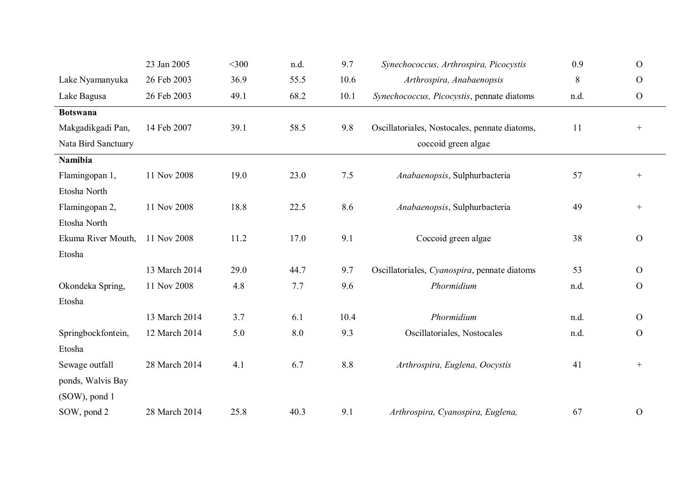|                     | 23 Jan 2005   | $<$ 300 | n.d. | 9.7  | Synechococcus, Arthrospira, Picocystis        | 0.9  | $\mathcal{O}$  |
|---------------------|---------------|---------|------|------|-----------------------------------------------|------|----------------|
| Lake Nyamanyuka     | 26 Feb 2003   | 36.9    | 55.5 | 10.6 | Arthrospira, Anabaenopsis                     | 8    | $\mathcal{O}$  |
| Lake Bagusa         | 26 Feb 2003   | 49.1    | 68.2 | 10.1 | Synechococcus, Picocystis, pennate diatoms    | n.d. | $\overline{O}$ |
| <b>Botswana</b>     |               |         |      |      |                                               |      |                |
| Makgadikgadi Pan,   | 14 Feb 2007   | 39.1    | 58.5 | 9.8  | Oscillatoriales, Nostocales, pennate diatoms, | 11   | $^{+}$         |
| Nata Bird Sanctuary |               |         |      |      | coccoid green algae                           |      |                |
| <b>Namibia</b>      |               |         |      |      |                                               |      |                |
| Flamingopan 1,      | 11 Nov 2008   | 19.0    | 23.0 | 7.5  | Anabaenopsis, Sulphurbacteria                 | 57   | $^{+}$         |
| Etosha North        |               |         |      |      |                                               |      |                |
| Flamingopan 2,      | 11 Nov 2008   | 18.8    | 22.5 | 8.6  | Anabaenopsis, Sulphurbacteria                 | 49   |                |
| Etosha North        |               |         |      |      |                                               |      |                |
| Ekuma River Mouth,  | 11 Nov 2008   | 11.2    | 17.0 | 9.1  | Coccoid green algae                           | 38   | $\mathbf{O}$   |
| Etosha              |               |         |      |      |                                               |      |                |
|                     | 13 March 2014 | 29.0    | 44.7 | 9.7  | Oscillatoriales, Cyanospira, pennate diatoms  | 53   | $\mathcal{O}$  |
| Okondeka Spring,    | 11 Nov 2008   | 4.8     | 7.7  | 9.6  | Phormidium                                    | n.d. | $\overline{O}$ |
| Etosha              |               |         |      |      |                                               |      |                |
|                     | 13 March 2014 | 3.7     | 6.1  | 10.4 | Phormidium                                    | n.d. | $\overline{O}$ |
| Springbockfontein,  | 12 March 2014 | 5.0     | 8.0  | 9.3  | Oscillatoriales, Nostocales                   | n.d. | $\mathcal{O}$  |
| Etosha              |               |         |      |      |                                               |      |                |
| Sewage outfall      | 28 March 2014 | 4.1     | 6.7  | 8.8  | Arthrospira, Euglena, Oocystis                | 41   | $^{+}$         |
| ponds, Walvis Bay   |               |         |      |      |                                               |      |                |
| (SOW), pond 1       |               |         |      |      |                                               |      |                |
| SOW, pond 2         | 28 March 2014 | 25.8    | 40.3 | 9.1  | Arthrospira, Cyanospira, Euglena,             | 67   | $\mathcal{O}$  |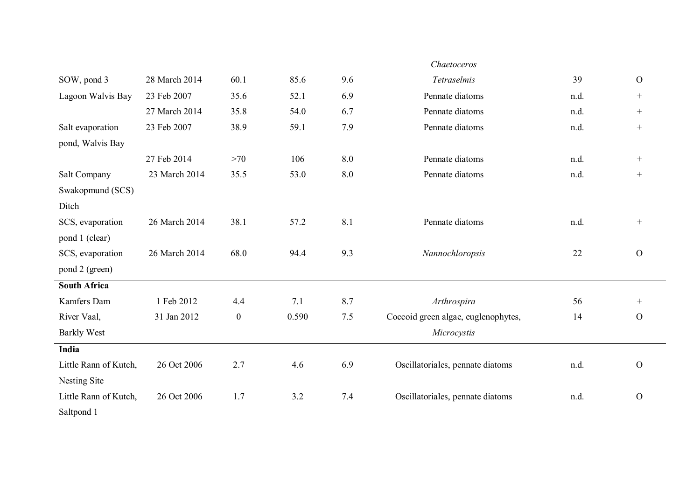|                       |               |                  |       |     | Chaetoceros                         |      |               |
|-----------------------|---------------|------------------|-------|-----|-------------------------------------|------|---------------|
| SOW, pond 3           | 28 March 2014 | 60.1             | 85.6  | 9.6 | Tetraselmis                         | 39   | $\mathcal{O}$ |
| Lagoon Walvis Bay     | 23 Feb 2007   | 35.6             | 52.1  | 6.9 | Pennate diatoms                     | n.d. | $^{+}$        |
|                       | 27 March 2014 | 35.8             | 54.0  | 6.7 | Pennate diatoms                     | n.d. | $^{+}$        |
| Salt evaporation      | 23 Feb 2007   | 38.9             | 59.1  | 7.9 | Pennate diatoms                     | n.d. | $^{+}$        |
| pond, Walvis Bay      |               |                  |       |     |                                     |      |               |
|                       | 27 Feb 2014   | >70              | 106   | 8.0 | Pennate diatoms                     | n.d. | $^{+}$        |
| Salt Company          | 23 March 2014 | 35.5             | 53.0  | 8.0 | Pennate diatoms                     | n.d. | $^{+}$        |
| Swakopmund (SCS)      |               |                  |       |     |                                     |      |               |
| Ditch                 |               |                  |       |     |                                     |      |               |
| SCS, evaporation      | 26 March 2014 | 38.1             | 57.2  | 8.1 | Pennate diatoms                     | n.d. | $^{+}$        |
| pond 1 (clear)        |               |                  |       |     |                                     |      |               |
| SCS, evaporation      | 26 March 2014 | 68.0             | 94.4  | 9.3 | Nannochloropsis                     | 22   | $\mathbf{O}$  |
| pond 2 (green)        |               |                  |       |     |                                     |      |               |
| <b>South Africa</b>   |               |                  |       |     |                                     |      |               |
| Kamfers Dam           | 1 Feb 2012    | 4.4              | 7.1   | 8.7 | Arthrospira                         | 56   | $^{+}$        |
| River Vaal,           | 31 Jan 2012   | $\boldsymbol{0}$ | 0.590 | 7.5 | Coccoid green algae, euglenophytes, | 14   | $\mathbf{O}$  |
| <b>Barkly West</b>    |               |                  |       |     | Microcystis                         |      |               |
| India                 |               |                  |       |     |                                     |      |               |
| Little Rann of Kutch, | 26 Oct 2006   | 2.7              | 4.6   | 6.9 | Oscillatoriales, pennate diatoms    | n.d. | $\mathbf{O}$  |
| Nesting Site          |               |                  |       |     |                                     |      |               |
| Little Rann of Kutch, | 26 Oct 2006   | 1.7              | 3.2   | 7.4 | Oscillatoriales, pennate diatoms    | n.d. | $\mathbf{O}$  |
| Saltpond 1            |               |                  |       |     |                                     |      |               |
|                       |               |                  |       |     |                                     |      |               |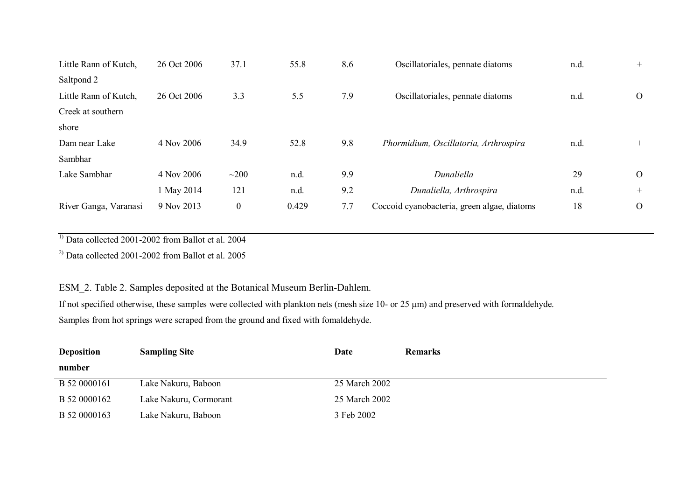| Little Rann of Kutch, | 26 Oct 2006 | 37.1             | 55.8  | 8.6 | Oscillatoriales, pennate diatoms            | n.d. | $+$          |
|-----------------------|-------------|------------------|-------|-----|---------------------------------------------|------|--------------|
| Saltpond 2            |             |                  |       |     |                                             |      |              |
| Little Rann of Kutch, | 26 Oct 2006 | 3.3              | 5.5   | 7.9 | Oscillatoriales, pennate diatoms            | n.d. | $\Omega$     |
| Creek at southern     |             |                  |       |     |                                             |      |              |
| shore                 |             |                  |       |     |                                             |      |              |
| Dam near Lake         | 4 Nov 2006  | 34.9             | 52.8  | 9.8 | Phormidium, Oscillatoria, Arthrospira       | n.d. | $^{+}$       |
| Sambhar               |             |                  |       |     |                                             |      |              |
| Lake Sambhar          | 4 Nov 2006  | $\sim$ 200       | n.d.  | 9.9 | Dunaliella                                  | 29   | $\Omega$     |
|                       | 1 May 2014  | 121              | n.d.  | 9.2 | Dunaliella, Arthrospira                     | n.d. | $^{+}$       |
| River Ganga, Varanasi | 9 Nov 2013  | $\boldsymbol{0}$ | 0.429 | 7.7 | Coccoid cyanobacteria, green algae, diatoms | 18   | $\mathbf{O}$ |

<sup>1)</sup> Data collected 2001-2002 from Ballot et al. 2004

 $^{2)}$  Data collected 2001-2002 from Ballot et al. 2005

ESM\_2. Table 2. Samples deposited at the Botanical Museum Berlin-Dahlem.

If not specified otherwise, these samples were collected with plankton nets (mesh size 10- or 25 µm) and preserved with formaldehyde. Samples from hot springs were scraped from the ground and fixed with fomaldehyde.

| <b>Deposition</b> | <b>Sampling Site</b>   | Date          | <b>Remarks</b> |
|-------------------|------------------------|---------------|----------------|
| number            |                        |               |                |
| B 52 0000161      | Lake Nakuru, Baboon    | 25 March 2002 |                |
| B 52 0000162      | Lake Nakuru, Cormorant | 25 March 2002 |                |
| B 52 0000163      | Lake Nakuru, Baboon    | 3 Feb 2002    |                |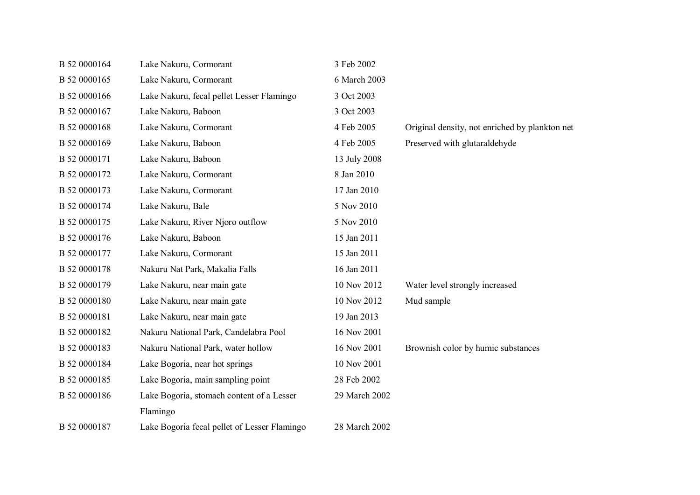| B 52 0000164 | Lake Nakuru, Cormorant                       | 3 Feb 2002    |                                                |
|--------------|----------------------------------------------|---------------|------------------------------------------------|
| B 52 0000165 | Lake Nakuru, Cormorant                       | 6 March 2003  |                                                |
| B 52 0000166 | Lake Nakuru, fecal pellet Lesser Flamingo    | 3 Oct 2003    |                                                |
| B 52 0000167 | Lake Nakuru, Baboon                          | 3 Oct 2003    |                                                |
| B 52 0000168 | Lake Nakuru, Cormorant                       | 4 Feb 2005    | Original density, not enriched by plankton net |
| B 52 0000169 | Lake Nakuru, Baboon                          | 4 Feb 2005    | Preserved with glutaraldehyde                  |
| B 52 0000171 | Lake Nakuru, Baboon                          | 13 July 2008  |                                                |
| B 52 0000172 | Lake Nakuru, Cormorant                       | 8 Jan 2010    |                                                |
| B 52 0000173 | Lake Nakuru, Cormorant                       | 17 Jan 2010   |                                                |
| B 52 0000174 | Lake Nakuru, Bale                            | 5 Nov 2010    |                                                |
| B 52 0000175 | Lake Nakuru, River Njoro outflow             | 5 Nov 2010    |                                                |
| B 52 0000176 | Lake Nakuru, Baboon                          | 15 Jan 2011   |                                                |
| B 52 0000177 | Lake Nakuru, Cormorant                       | 15 Jan 2011   |                                                |
| B 52 0000178 | Nakuru Nat Park, Makalia Falls               | 16 Jan 2011   |                                                |
| B 52 0000179 | Lake Nakuru, near main gate                  | 10 Nov 2012   | Water level strongly increased                 |
| B 52 0000180 | Lake Nakuru, near main gate                  | 10 Nov 2012   | Mud sample                                     |
| B 52 0000181 | Lake Nakuru, near main gate                  | 19 Jan 2013   |                                                |
| B 52 0000182 | Nakuru National Park, Candelabra Pool        | 16 Nov 2001   |                                                |
| B 52 0000183 | Nakuru National Park, water hollow           | 16 Nov 2001   | Brownish color by humic substances             |
| B 52 0000184 | Lake Bogoria, near hot springs               | 10 Nov 2001   |                                                |
| B 52 0000185 | Lake Bogoria, main sampling point            | 28 Feb 2002   |                                                |
| B 52 0000186 | Lake Bogoria, stomach content of a Lesser    | 29 March 2002 |                                                |
|              | Flamingo                                     |               |                                                |
| B 52 0000187 | Lake Bogoria fecal pellet of Lesser Flamingo | 28 March 2002 |                                                |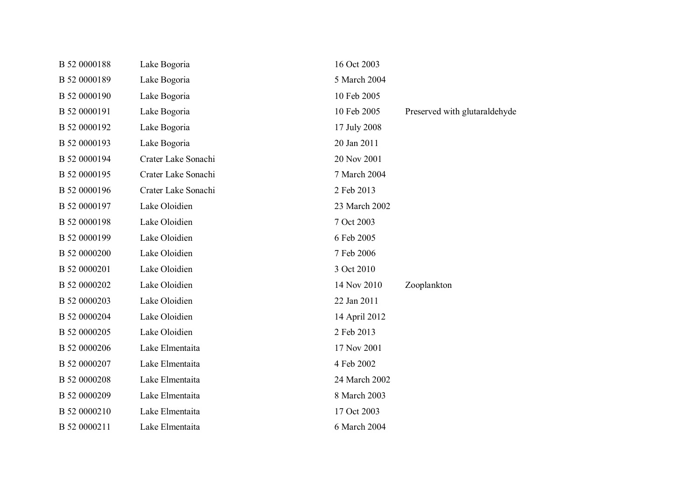| B 52 0000188 | Lake Bogoria        | 16 Oct 2003   |                               |
|--------------|---------------------|---------------|-------------------------------|
| B 52 0000189 | Lake Bogoria        | 5 March 2004  |                               |
| B 52 0000190 | Lake Bogoria        | 10 Feb 2005   |                               |
| B 52 0000191 | Lake Bogoria        | 10 Feb 2005   | Preserved with glutaraldehyde |
| B 52 0000192 | Lake Bogoria        | 17 July 2008  |                               |
| B 52 0000193 | Lake Bogoria        | 20 Jan 2011   |                               |
| B 52 0000194 | Crater Lake Sonachi | 20 Nov 2001   |                               |
| B 52 0000195 | Crater Lake Sonachi | 7 March 2004  |                               |
| B 52 0000196 | Crater Lake Sonachi | 2 Feb 2013    |                               |
| B 52 0000197 | Lake Oloidien       | 23 March 2002 |                               |
| B 52 0000198 | Lake Oloidien       | 7 Oct 2003    |                               |
| B 52 0000199 | Lake Oloidien       | 6 Feb 2005    |                               |
| B 52 0000200 | Lake Oloidien       | 7 Feb 2006    |                               |
| B 52 0000201 | Lake Oloidien       | 3 Oct 2010    |                               |
| B 52 0000202 | Lake Oloidien       | 14 Nov 2010   | Zooplankton                   |
| B 52 0000203 | Lake Oloidien       | 22 Jan 2011   |                               |
| B 52 0000204 | Lake Oloidien       | 14 April 2012 |                               |
| B 52 0000205 | Lake Oloidien       | 2 Feb 2013    |                               |
| B 52 0000206 | Lake Elmentaita     | 17 Nov 2001   |                               |
| B 52 0000207 | Lake Elmentaita     | 4 Feb 2002    |                               |
| B 52 0000208 | Lake Elmentaita     | 24 March 2002 |                               |
| B 52 0000209 | Lake Elmentaita     | 8 March 2003  |                               |
| B 52 0000210 | Lake Elmentaita     | 17 Oct 2003   |                               |
| B 52 0000211 | Lake Elmentaita     | 6 March 2004  |                               |